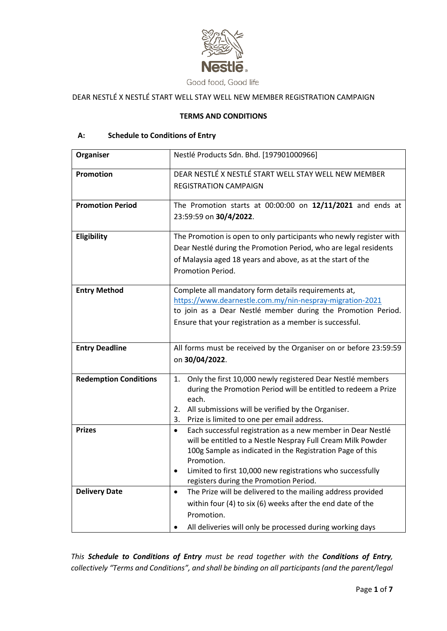

# DEAR NESTLÉ X NESTLÉ START WELL STAY WELL NEW MEMBER REGISTRATION CAMPAIGN

### **TERMS AND CONDITIONS**

## **A: Schedule to Conditions of Entry**

| Organiser                    | Nestlé Products Sdn. Bhd. [197901000966]                                                                                 |
|------------------------------|--------------------------------------------------------------------------------------------------------------------------|
|                              |                                                                                                                          |
| Promotion                    | DEAR NESTLÉ X NESTLÉ START WELL STAY WELL NEW MEMBER                                                                     |
|                              | <b>REGISTRATION CAMPAIGN</b>                                                                                             |
|                              |                                                                                                                          |
| <b>Promotion Period</b>      | The Promotion starts at $00:00:00$ on $12/11/2021$ and ends at                                                           |
|                              | 23:59:59 on 30/4/2022.                                                                                                   |
|                              |                                                                                                                          |
| Eligibility                  | The Promotion is open to only participants who newly register with                                                       |
|                              | Dear Nestlé during the Promotion Period, who are legal residents                                                         |
|                              | of Malaysia aged 18 years and above, as at the start of the                                                              |
|                              | Promotion Period.                                                                                                        |
|                              |                                                                                                                          |
| <b>Entry Method</b>          | Complete all mandatory form details requirements at,                                                                     |
|                              | https://www.dearnestle.com.my/nin-nespray-migration-2021<br>to join as a Dear Nestlé member during the Promotion Period. |
|                              |                                                                                                                          |
|                              | Ensure that your registration as a member is successful.                                                                 |
|                              |                                                                                                                          |
| <b>Entry Deadline</b>        | All forms must be received by the Organiser on or before 23:59:59                                                        |
|                              | on 30/04/2022.                                                                                                           |
|                              |                                                                                                                          |
| <b>Redemption Conditions</b> | Only the first 10,000 newly registered Dear Nestlé members<br>1.                                                         |
|                              | during the Promotion Period will be entitled to redeem a Prize                                                           |
|                              | each.<br>All submissions will be verified by the Organiser.<br>2.                                                        |
|                              | Prize is limited to one per email address.<br>3.                                                                         |
| <b>Prizes</b>                | Each successful registration as a new member in Dear Nestlé<br>$\bullet$                                                 |
|                              | will be entitled to a Nestle Nespray Full Cream Milk Powder                                                              |
|                              | 100g Sample as indicated in the Registration Page of this                                                                |
|                              | Promotion.                                                                                                               |
|                              | Limited to first 10,000 new registrations who successfully<br>$\bullet$                                                  |
|                              | registers during the Promotion Period.                                                                                   |
| <b>Delivery Date</b>         | The Prize will be delivered to the mailing address provided<br>$\bullet$                                                 |
|                              | within four (4) to six (6) weeks after the end date of the                                                               |
|                              | Promotion.                                                                                                               |
|                              | All deliveries will only be processed during working days                                                                |

*This Schedule to Conditions of Entry must be read together with the Conditions of Entry, collectively "Terms and Conditions", and shall be binding on all participants (and the parent/legal*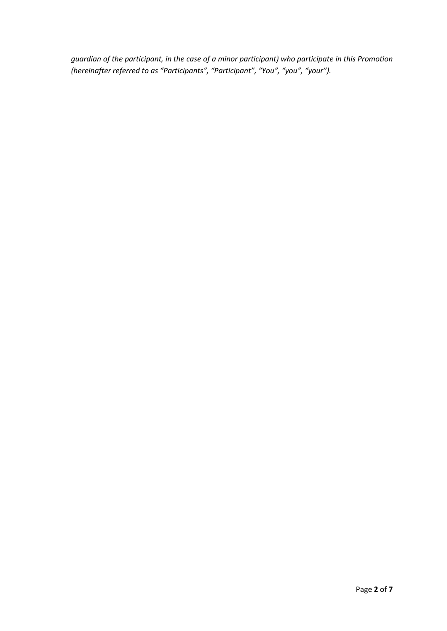*guardian of the participant, in the case of a minor participant) who participate in this Promotion (hereinafter referred to as "Participants", "Participant", "You", "you", "your").*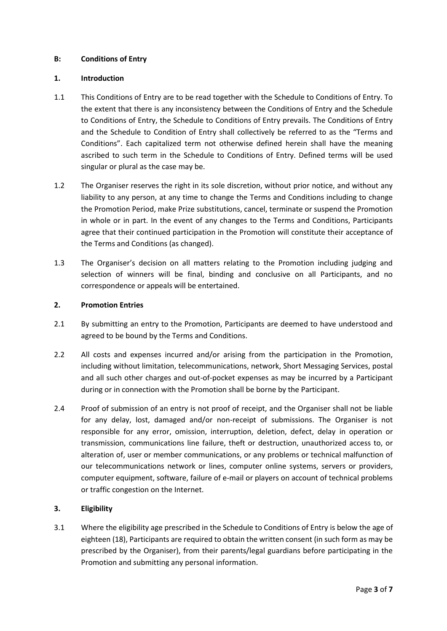### **B: Conditions of Entry**

### **1. Introduction**

- 1.1 This Conditions of Entry are to be read together with the Schedule to Conditions of Entry. To the extent that there is any inconsistency between the Conditions of Entry and the Schedule to Conditions of Entry, the Schedule to Conditions of Entry prevails. The Conditions of Entry and the Schedule to Condition of Entry shall collectively be referred to as the "Terms and Conditions". Each capitalized term not otherwise defined herein shall have the meaning ascribed to such term in the Schedule to Conditions of Entry. Defined terms will be used singular or plural as the case may be.
- 1.2 The Organiser reserves the right in its sole discretion, without prior notice, and without any liability to any person, at any time to change the Terms and Conditions including to change the Promotion Period, make Prize substitutions, cancel, terminate or suspend the Promotion in whole or in part. In the event of any changes to the Terms and Conditions, Participants agree that their continued participation in the Promotion will constitute their acceptance of the Terms and Conditions (as changed).
- 1.3 The Organiser's decision on all matters relating to the Promotion including judging and selection of winners will be final, binding and conclusive on all Participants, and no correspondence or appeals will be entertained.

## **2. Promotion Entries**

- 2.1 By submitting an entry to the Promotion, Participants are deemed to have understood and agreed to be bound by the Terms and Conditions.
- 2.2 All costs and expenses incurred and/or arising from the participation in the Promotion, including without limitation, telecommunications, network, Short Messaging Services, postal and all such other charges and out-of-pocket expenses as may be incurred by a Participant during or in connection with the Promotion shall be borne by the Participant.
- 2.4 Proof of submission of an entry is not proof of receipt, and the Organiser shall not be liable for any delay, lost, damaged and/or non-receipt of submissions. The Organiser is not responsible for any error, omission, interruption, deletion, defect, delay in operation or transmission, communications line failure, theft or destruction, unauthorized access to, or alteration of, user or member communications, or any problems or technical malfunction of our telecommunications network or lines, computer online systems, servers or providers, computer equipment, software, failure of e-mail or players on account of technical problems or traffic congestion on the Internet.

## **3. Eligibility**

3.1 Where the eligibility age prescribed in the Schedule to Conditions of Entry is below the age of eighteen (18), Participants are required to obtain the written consent (in such form as may be prescribed by the Organiser), from their parents/legal guardians before participating in the Promotion and submitting any personal information.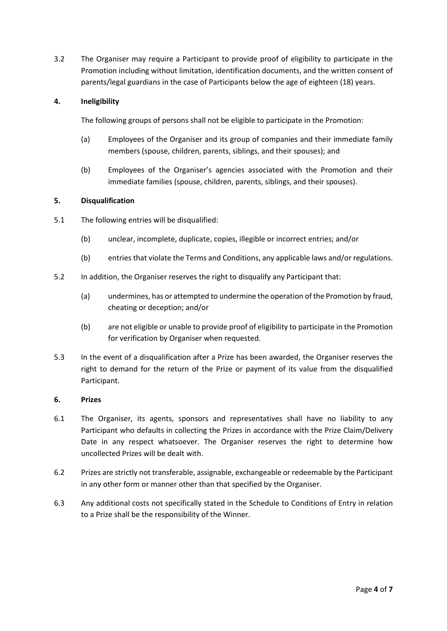3.2 The Organiser may require a Participant to provide proof of eligibility to participate in the Promotion including without limitation, identification documents, and the written consent of parents/legal guardians in the case of Participants below the age of eighteen (18) years.

## **4. Ineligibility**

The following groups of persons shall not be eligible to participate in the Promotion:

- (a) Employees of the Organiser and its group of companies and their immediate family members (spouse, children, parents, siblings, and their spouses); and
- (b) Employees of the Organiser's agencies associated with the Promotion and their immediate families (spouse, children, parents, siblings, and their spouses).

#### **5. Disqualification**

- 5.1 The following entries will be disqualified:
	- (b) unclear, incomplete, duplicate, copies, illegible or incorrect entries; and/or
	- (b) entries that violate the Terms and Conditions, any applicable laws and/or regulations.
- 5.2 In addition, the Organiser reserves the right to disqualify any Participant that:
	- (a) undermines, has or attempted to undermine the operation of the Promotion by fraud, cheating or deception; and/or
	- (b) are not eligible or unable to provide proof of eligibility to participate in the Promotion for verification by Organiser when requested.
- 5.3 In the event of a disqualification after a Prize has been awarded, the Organiser reserves the right to demand for the return of the Prize or payment of its value from the disqualified Participant.

## **6. Prizes**

- 6.1 The Organiser, its agents, sponsors and representatives shall have no liability to any Participant who defaults in collecting the Prizes in accordance with the Prize Claim/Delivery Date in any respect whatsoever. The Organiser reserves the right to determine how uncollected Prizes will be dealt with.
- 6.2 Prizes are strictly not transferable, assignable, exchangeable or redeemable by the Participant in any other form or manner other than that specified by the Organiser.
- 6.3 Any additional costs not specifically stated in the Schedule to Conditions of Entry in relation to a Prize shall be the responsibility of the Winner.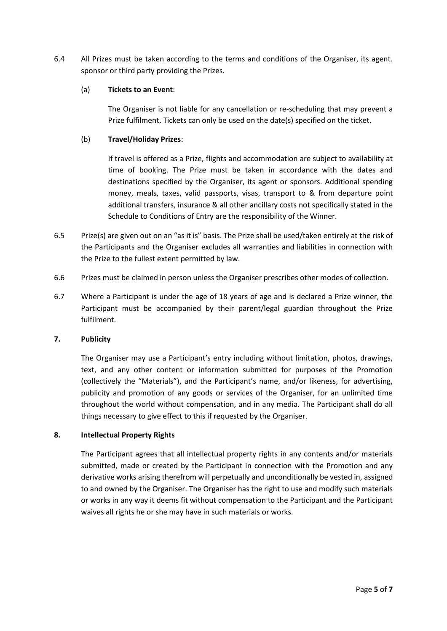6.4 All Prizes must be taken according to the terms and conditions of the Organiser, its agent. sponsor or third party providing the Prizes.

#### (a) **Tickets to an Event**:

The Organiser is not liable for any cancellation or re-scheduling that may prevent a Prize fulfilment. Tickets can only be used on the date(s) specified on the ticket.

## (b) **Travel/Holiday Prizes**:

If travel is offered as a Prize, flights and accommodation are subject to availability at time of booking. The Prize must be taken in accordance with the dates and destinations specified by the Organiser, its agent or sponsors. Additional spending money, meals, taxes, valid passports, visas, transport to & from departure point additional transfers, insurance & all other ancillary costs not specifically stated in the Schedule to Conditions of Entry are the responsibility of the Winner.

- 6.5 Prize(s) are given out on an "as it is" basis. The Prize shall be used/taken entirely at the risk of the Participants and the Organiser excludes all warranties and liabilities in connection with the Prize to the fullest extent permitted by law.
- 6.6 Prizes must be claimed in person unless the Organiser prescribes other modes of collection.
- 6.7 Where a Participant is under the age of 18 years of age and is declared a Prize winner, the Participant must be accompanied by their parent/legal guardian throughout the Prize fulfilment.

#### **7. Publicity**

The Organiser may use a Participant's entry including without limitation, photos, drawings, text, and any other content or information submitted for purposes of the Promotion (collectively the "Materials"), and the Participant's name, and/or likeness, for advertising, publicity and promotion of any goods or services of the Organiser, for an unlimited time throughout the world without compensation, and in any media. The Participant shall do all things necessary to give effect to this if requested by the Organiser.

#### **8. Intellectual Property Rights**

The Participant agrees that all intellectual property rights in any contents and/or materials submitted, made or created by the Participant in connection with the Promotion and any derivative works arising therefrom will perpetually and unconditionally be vested in, assigned to and owned by the Organiser. The Organiser has the right to use and modify such materials or works in any way it deems fit without compensation to the Participant and the Participant waives all rights he or she may have in such materials or works.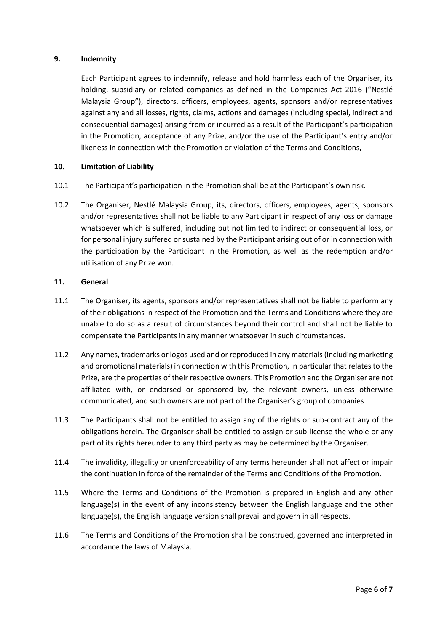### **9. Indemnity**

Each Participant agrees to indemnify, release and hold harmless each of the Organiser, its holding, subsidiary or related companies as defined in the Companies Act 2016 ("Nestlé Malaysia Group"), directors, officers, employees, agents, sponsors and/or representatives against any and all losses, rights, claims, actions and damages (including special, indirect and consequential damages) arising from or incurred as a result of the Participant's participation in the Promotion, acceptance of any Prize, and/or the use of the Participant's entry and/or likeness in connection with the Promotion or violation of the Terms and Conditions,

## **10. Limitation of Liability**

- 10.1 The Participant's participation in the Promotion shall be at the Participant's own risk.
- 10.2 The Organiser, Nestlé Malaysia Group, its, directors, officers, employees, agents, sponsors and/or representatives shall not be liable to any Participant in respect of any loss or damage whatsoever which is suffered, including but not limited to indirect or consequential loss, or for personal injury suffered or sustained by the Participant arising out of or in connection with the participation by the Participant in the Promotion, as well as the redemption and/or utilisation of any Prize won.

#### **11. General**

- 11.1 The Organiser, its agents, sponsors and/or representatives shall not be liable to perform any of their obligations in respect of the Promotion and the Terms and Conditions where they are unable to do so as a result of circumstances beyond their control and shall not be liable to compensate the Participants in any manner whatsoever in such circumstances.
- 11.2 Any names, trademarks or logos used and or reproduced in any materials (including marketing and promotional materials) in connection with this Promotion, in particular that relates to the Prize, are the properties of their respective owners. This Promotion and the Organiser are not affiliated with, or endorsed or sponsored by, the relevant owners, unless otherwise communicated, and such owners are not part of the Organiser's group of companies
- 11.3 The Participants shall not be entitled to assign any of the rights or sub-contract any of the obligations herein. The Organiser shall be entitled to assign or sub-license the whole or any part of its rights hereunder to any third party as may be determined by the Organiser.
- 11.4 The invalidity, illegality or unenforceability of any terms hereunder shall not affect or impair the continuation in force of the remainder of the Terms and Conditions of the Promotion.
- 11.5 Where the Terms and Conditions of the Promotion is prepared in English and any other language(s) in the event of any inconsistency between the English language and the other language(s), the English language version shall prevail and govern in all respects.
- 11.6 The Terms and Conditions of the Promotion shall be construed, governed and interpreted in accordance the laws of Malaysia.